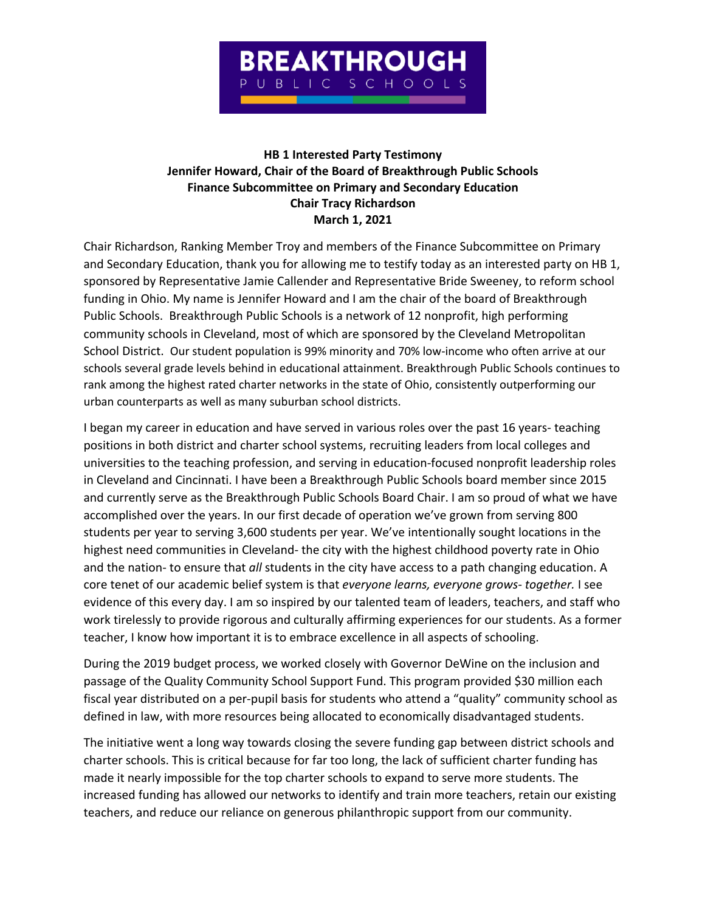

## **HB 1 Interested Party Testimony Jennifer Howard, Chair of the Board of Breakthrough Public Schools Finance Subcommittee on Primary and Secondary Education Chair Tracy Richardson March 1, 2021**

Chair Richardson, Ranking Member Troy and members of the Finance Subcommittee on Primary and Secondary Education, thank you for allowing me to testify today as an interested party on HB 1, sponsored by Representative Jamie Callender and Representative Bride Sweeney, to reform school funding in Ohio. My name is Jennifer Howard and I am the chair of the board of Breakthrough Public Schools. Breakthrough Public Schools is a network of 12 nonprofit, high performing community schools in Cleveland, most of which are sponsored by the Cleveland Metropolitan School District. Our student population is 99% minority and 70% low-income who often arrive at our schools several grade levels behind in educational attainment. Breakthrough Public Schools continues to rank among the highest rated charter networks in the state of Ohio, consistently outperforming our urban counterparts as well as many suburban school districts.

I began my career in education and have served in various roles over the past 16 years- teaching positions in both district and charter school systems, recruiting leaders from local colleges and universities to the teaching profession, and serving in education-focused nonprofit leadership roles in Cleveland and Cincinnati. I have been a Breakthrough Public Schools board member since 2015 and currently serve as the Breakthrough Public Schools Board Chair. I am so proud of what we have accomplished over the years. In our first decade of operation we've grown from serving 800 students per year to serving 3,600 students per year. We've intentionally sought locations in the highest need communities in Cleveland- the city with the highest childhood poverty rate in Ohio and the nation- to ensure that *all* students in the city have access to a path changing education. A core tenet of our academic belief system is that *everyone learns, everyone grows- together.* I see evidence of this every day. I am so inspired by our talented team of leaders, teachers, and staff who work tirelessly to provide rigorous and culturally affirming experiences for our students. As a former teacher, I know how important it is to embrace excellence in all aspects of schooling.

During the 2019 budget process, we worked closely with Governor DeWine on the inclusion and passage of the Quality Community School Support Fund. This program provided \$30 million each fiscal year distributed on a per-pupil basis for students who attend a "quality" community school as defined in law, with more resources being allocated to economically disadvantaged students.

The initiative went a long way towards closing the severe funding gap between district schools and charter schools. This is critical because for far too long, the lack of sufficient charter funding has made it nearly impossible for the top charter schools to expand to serve more students. The increased funding has allowed our networks to identify and train more teachers, retain our existing teachers, and reduce our reliance on generous philanthropic support from our community.